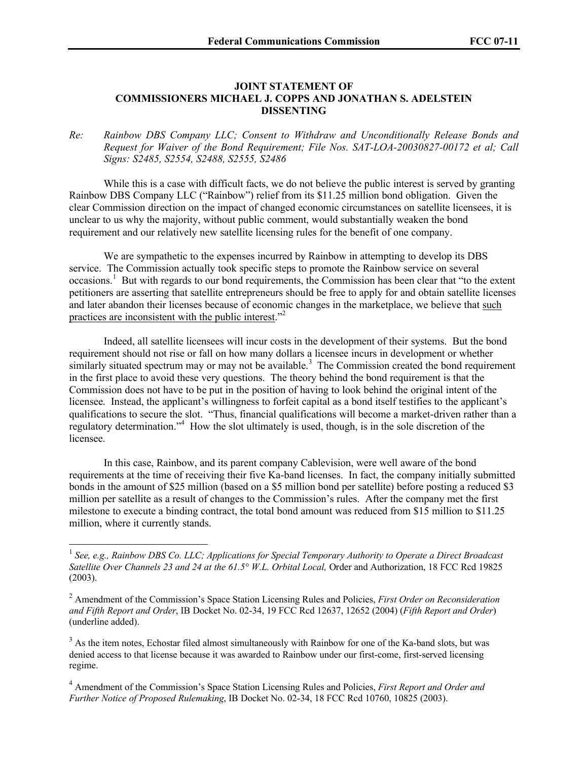## **JOINT STATEMENT OF COMMISSIONERS MICHAEL J. COPPS AND JONATHAN S. ADELSTEIN DISSENTING**

*Re: Rainbow DBS Company LLC; Consent to Withdraw and Unconditionally Release Bonds and Request for Waiver of the Bond Requirement; File Nos. SAT-LOA-20030827-00172 et al; Call Signs: S2485, S2554, S2488, S2555, S2486*

While this is a case with difficult facts, we do not believe the public interest is served by granting Rainbow DBS Company LLC ("Rainbow") relief from its \$11.25 million bond obligation. Given the clear Commission direction on the impact of changed economic circumstances on satellite licensees, it is unclear to us why the majority, without public comment, would substantially weaken the bond requirement and our relatively new satellite licensing rules for the benefit of one company.

We are sympathetic to the expenses incurred by Rainbow in attempting to develop its DBS service. The Commission actually took specific steps to promote the Rainbow service on several occasions.<sup>1</sup> But with regards to our bond requirements, the Commission has been clear that "to the extent petitioners are asserting that satellite entrepreneurs should be free to apply for and obtain satellite licenses and later abandon their licenses because of economic changes in the marketplace, we believe that such practices are inconsistent with the public interest."<sup>2</sup>

Indeed, all satellite licensees will incur costs in the development of their systems. But the bond requirement should not rise or fall on how many dollars a licensee incurs in development or whether similarly situated spectrum may or may not be available.<sup>3</sup> The Commission created the bond requirement in the first place to avoid these very questions. The theory behind the bond requirement is that the Commission does not have to be put in the position of having to look behind the original intent of the licensee. Instead, the applicant's willingness to forfeit capital as a bond itself testifies to the applicant's qualifications to secure the slot. "Thus, financial qualifications will become a market-driven rather than a regulatory determination."<sup>4</sup> How the slot ultimately is used, though, is in the sole discretion of the licensee.

In this case, Rainbow, and its parent company Cablevision, were well aware of the bond requirements at the time of receiving their five Ka-band licenses. In fact, the company initially submitted bonds in the amount of \$25 million (based on a \$5 million bond per satellite) before posting a reduced \$3 million per satellite as a result of changes to the Commission's rules. After the company met the first milestone to execute a binding contract, the total bond amount was reduced from \$15 million to \$11.25 million, where it currently stands.

<sup>&</sup>lt;sup>1</sup> See, e.g., Rainbow DBS Co. LLC; Applications for Special Temporary Authority to Operate a Direct Broadcast *Satellite Over Channels 23 and 24 at the 61.5° W.L. Orbital Local,* Order and Authorization, 18 FCC Rcd 19825 (2003).

<sup>2</sup> Amendment of the Commission's Space Station Licensing Rules and Policies, *First Order on Reconsideration and Fifth Report and Order*, IB Docket No. 02-34, 19 FCC Rcd 12637, 12652 (2004) (*Fifth Report and Order*) (underline added).

<sup>&</sup>lt;sup>3</sup> As the item notes, Echostar filed almost simultaneously with Rainbow for one of the Ka-band slots, but was denied access to that license because it was awarded to Rainbow under our first-come, first-served licensing regime.

<sup>4</sup> Amendment of the Commission's Space Station Licensing Rules and Policies, *First Report and Order and Further Notice of Proposed Rulemaking*, IB Docket No. 02-34, 18 FCC Rcd 10760, 10825 (2003).